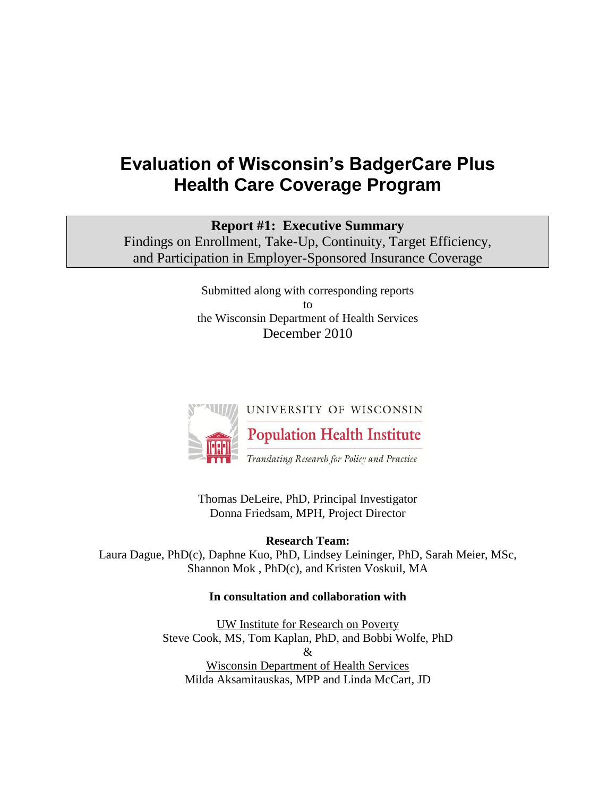# **Evaluation of Wisconsin's BadgerCare Plus Health Care Coverage Program**

# **Report #1: Executive Summary**

Findings on Enrollment, Take-Up, Continuity, Target Efficiency, and Participation in Employer-Sponsored Insurance Coverage

> Submitted along with corresponding reports to the Wisconsin Department of Health Services December 2010



Thomas DeLeire, PhD, Principal Investigator Donna Friedsam, MPH, Project Director

**Research Team:** 

Laura Dague, PhD(c), Daphne Kuo, PhD, Lindsey Leininger, PhD, Sarah Meier, MSc, Shannon Mok , PhD(c), and Kristen Voskuil, MA

#### **In consultation and collaboration with**

UW Institute for Research on Poverty Steve Cook, MS, Tom Kaplan, PhD, and Bobbi Wolfe, PhD  $\mathcal{R}_{I}$ Wisconsin Department of Health Services Milda Aksamitauskas, MPP and Linda McCart, JD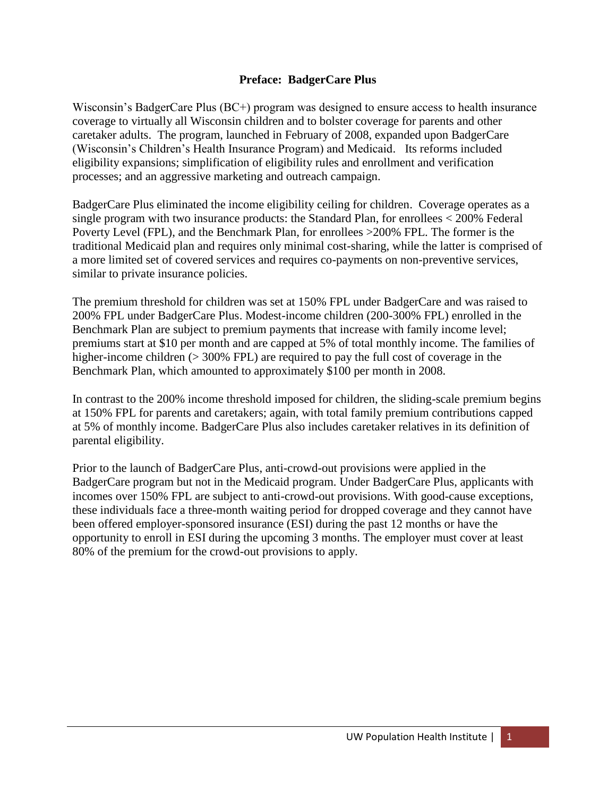#### **Preface: BadgerCare Plus**

Wisconsin's BadgerCare Plus (BC+) program was designed to ensure access to health insurance coverage to virtually all Wisconsin children and to bolster coverage for parents and other caretaker adults. The program, launched in February of 2008, expanded upon BadgerCare (Wisconsin's Children's Health Insurance Program) and Medicaid. Its reforms included eligibility expansions; simplification of eligibility rules and enrollment and verification processes; and an aggressive marketing and outreach campaign.

BadgerCare Plus eliminated the income eligibility ceiling for children. Coverage operates as a single program with two insurance products: the Standard Plan, for enrollees < 200% Federal Poverty Level (FPL), and the Benchmark Plan, for enrollees >200% FPL. The former is the traditional Medicaid plan and requires only minimal cost-sharing, while the latter is comprised of a more limited set of covered services and requires co-payments on non-preventive services, similar to private insurance policies.

The premium threshold for children was set at 150% FPL under BadgerCare and was raised to 200% FPL under BadgerCare Plus. Modest-income children (200-300% FPL) enrolled in the Benchmark Plan are subject to premium payments that increase with family income level; premiums start at \$10 per month and are capped at 5% of total monthly income. The families of higher-income children ( $>$  300% FPL) are required to pay the full cost of coverage in the Benchmark Plan, which amounted to approximately \$100 per month in 2008.

In contrast to the 200% income threshold imposed for children, the sliding-scale premium begins at 150% FPL for parents and caretakers; again, with total family premium contributions capped at 5% of monthly income. BadgerCare Plus also includes caretaker relatives in its definition of parental eligibility.

Prior to the launch of BadgerCare Plus, anti-crowd-out provisions were applied in the BadgerCare program but not in the Medicaid program. Under BadgerCare Plus, applicants with incomes over 150% FPL are subject to anti-crowd-out provisions. With good-cause exceptions, these individuals face a three-month waiting period for dropped coverage and they cannot have been offered employer-sponsored insurance (ESI) during the past 12 months or have the opportunity to enroll in ESI during the upcoming 3 months. The employer must cover at least 80% of the premium for the crowd-out provisions to apply.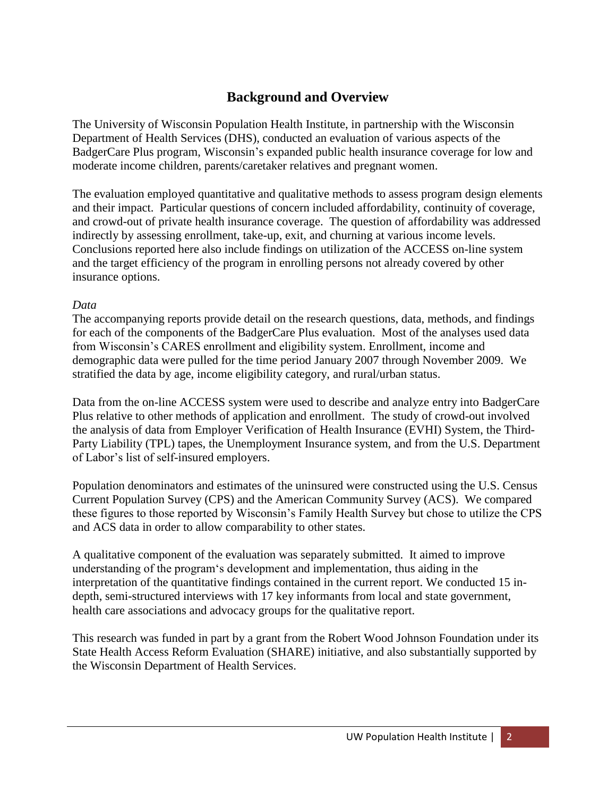# **Background and Overview**

The University of Wisconsin Population Health Institute, in partnership with the Wisconsin Department of Health Services (DHS), conducted an evaluation of various aspects of the BadgerCare Plus program, Wisconsin's expanded public health insurance coverage for low and moderate income children, parents/caretaker relatives and pregnant women.

The evaluation employed quantitative and qualitative methods to assess program design elements and their impact. Particular questions of concern included affordability, continuity of coverage, and crowd-out of private health insurance coverage. The question of affordability was addressed indirectly by assessing enrollment, take-up, exit, and churning at various income levels. Conclusions reported here also include findings on utilization of the ACCESS on-line system and the target efficiency of the program in enrolling persons not already covered by other insurance options.

#### *Data*

The accompanying reports provide detail on the research questions, data, methods, and findings for each of the components of the BadgerCare Plus evaluation. Most of the analyses used data from Wisconsin's CARES enrollment and eligibility system. Enrollment, income and demographic data were pulled for the time period January 2007 through November 2009. We stratified the data by age, income eligibility category, and rural/urban status.

Data from the on-line ACCESS system were used to describe and analyze entry into BadgerCare Plus relative to other methods of application and enrollment. The study of crowd-out involved the analysis of data from Employer Verification of Health Insurance (EVHI) System, the Third-Party Liability (TPL) tapes, the Unemployment Insurance system, and from the U.S. Department of Labor's list of self-insured employers.

Population denominators and estimates of the uninsured were constructed using the U.S. Census Current Population Survey (CPS) and the American Community Survey (ACS). We compared these figures to those reported by Wisconsin's Family Health Survey but chose to utilize the CPS and ACS data in order to allow comparability to other states.

A qualitative component of the evaluation was separately submitted. It aimed to improve understanding of the program‗s development and implementation, thus aiding in the interpretation of the quantitative findings contained in the current report. We conducted 15 indepth, semi-structured interviews with 17 key informants from local and state government, health care associations and advocacy groups for the qualitative report.

This research was funded in part by a grant from the Robert Wood Johnson Foundation under its State Health Access Reform Evaluation (SHARE) initiative, and also substantially supported by the Wisconsin Department of Health Services.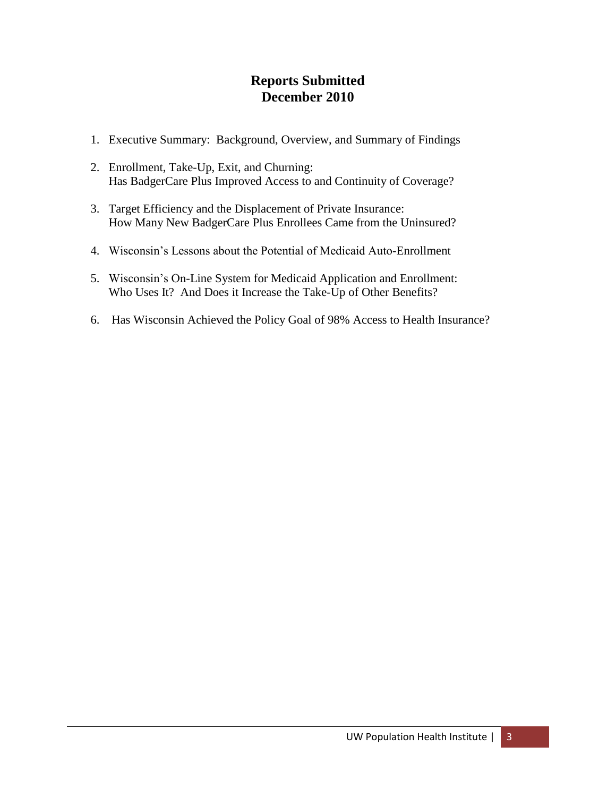# **Reports Submitted December 2010**

- 1. Executive Summary: Background, Overview, and Summary of Findings
- 2. Enrollment, Take-Up, Exit, and Churning: Has BadgerCare Plus Improved Access to and Continuity of Coverage?
- 3. Target Efficiency and the Displacement of Private Insurance: How Many New BadgerCare Plus Enrollees Came from the Uninsured?
- 4. Wisconsin's Lessons about the Potential of Medicaid Auto-Enrollment
- 5. Wisconsin's On-Line System for Medicaid Application and Enrollment: Who Uses It? And Does it Increase the Take-Up of Other Benefits?
- 6. Has Wisconsin Achieved the Policy Goal of 98% Access to Health Insurance?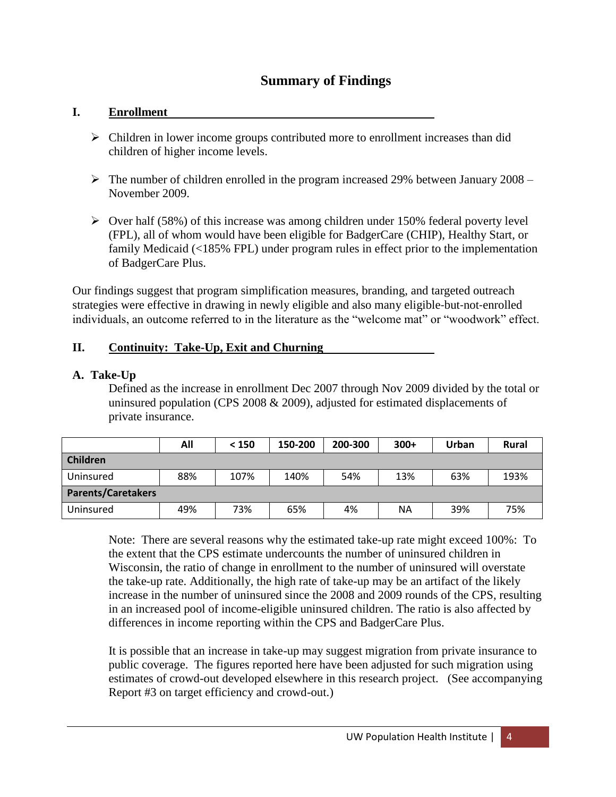# **Summary of Findings**

#### **I. Enrollment**

- $\triangleright$  Children in lower income groups contributed more to enrollment increases than did children of higher income levels.
- $\triangleright$  The number of children enrolled in the program increased 29% between January 2008 November 2009.
- $\triangleright$  Over half (58%) of this increase was among children under 150% federal poverty level (FPL), all of whom would have been eligible for BadgerCare (CHIP), Healthy Start, or family Medicaid (<185% FPL) under program rules in effect prior to the implementation of BadgerCare Plus.

Our findings suggest that program simplification measures, branding, and targeted outreach strategies were effective in drawing in newly eligible and also many eligible‐but‐not‐enrolled individuals, an outcome referred to in the literature as the "welcome mat" or "woodwork" effect.

#### **II. Continuity: Take-Up, Exit and Churning**

#### **A. Take-Up**

Defined as the increase in enrollment Dec 2007 through Nov 2009 divided by the total or uninsured population (CPS 2008 & 2009), adjusted for estimated displacements of private insurance.

|                           | All | < 150 | 150-200 | 200-300 | $300+$ | Urban | <b>Rural</b> |
|---------------------------|-----|-------|---------|---------|--------|-------|--------------|
| <b>Children</b>           |     |       |         |         |        |       |              |
| Uninsured                 | 88% | 107%  | 140%    | 54%     | 13%    | 63%   | 193%         |
| <b>Parents/Caretakers</b> |     |       |         |         |        |       |              |
| Uninsured                 | 49% | 73%   | 65%     | 4%      | NA     | 39%   | 75%          |

Note: There are several reasons why the estimated take-up rate might exceed 100%: To the extent that the CPS estimate undercounts the number of uninsured children in Wisconsin, the ratio of change in enrollment to the number of uninsured will overstate the take-up rate. Additionally, the high rate of take-up may be an artifact of the likely increase in the number of uninsured since the 2008 and 2009 rounds of the CPS, resulting in an increased pool of income-eligible uninsured children. The ratio is also affected by differences in income reporting within the CPS and BadgerCare Plus.

It is possible that an increase in take-up may suggest migration from private insurance to public coverage. The figures reported here have been adjusted for such migration using estimates of crowd-out developed elsewhere in this research project. (See accompanying Report #3 on target efficiency and crowd-out.)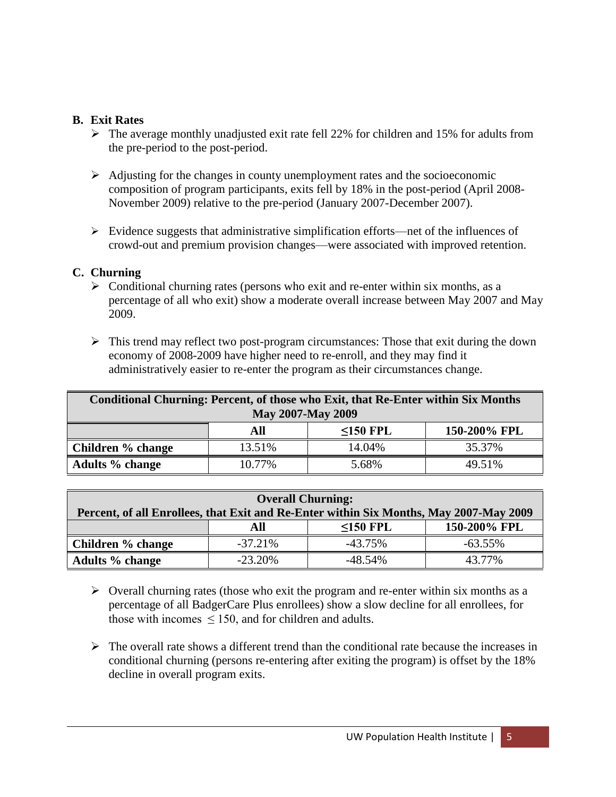#### **B. Exit Rates**

- $\triangleright$  The average monthly unadjusted exit rate fell 22% for children and 15% for adults from the pre-period to the post-period.
- $\triangleright$  Adjusting for the changes in county unemployment rates and the socioeconomic composition of program participants, exits fell by 18% in the post-period (April 2008- November 2009) relative to the pre-period (January 2007-December 2007).
- $\triangleright$  Evidence suggests that administrative simplification efforts—net of the influences of crowd-out and premium provision changes—were associated with improved retention.

# **C. Churning**

- $\triangleright$  Conditional churning rates (persons who exit and re-enter within six months, as a percentage of all who exit) show a moderate overall increase between May 2007 and May 2009.
- $\triangleright$  This trend may reflect two post-program circumstances: Those that exit during the down economy of 2008-2009 have higher need to re-enroll, and they may find it administratively easier to re-enter the program as their circumstances change.

| Conditional Churning: Percent, of those who Exit, that Re-Enter within Six Months<br><b>May 2007-May 2009</b> |        |                |              |  |  |
|---------------------------------------------------------------------------------------------------------------|--------|----------------|--------------|--|--|
|                                                                                                               | All    | $\leq$ 150 FPL | 150-200% FPL |  |  |
| Children % change                                                                                             | 13.51% | 14.04%         | 35.37%       |  |  |
| Adults % change                                                                                               | 10.77% | 5.68%          | 49.51%       |  |  |

| <b>Overall Churning:</b>                                                               |           |                |              |  |  |
|----------------------------------------------------------------------------------------|-----------|----------------|--------------|--|--|
| Percent, of all Enrollees, that Exit and Re-Enter within Six Months, May 2007-May 2009 |           |                |              |  |  |
|                                                                                        | All       | $\leq$ 150 FPL | 150-200% FPL |  |  |
| Children % change                                                                      | $-37.21%$ | $-43.75\%$     | $-63.55\%$   |  |  |
| <b>Adults</b> % change                                                                 | $-23.20%$ | $-48.54\%$     | 43.77%       |  |  |

- $\triangleright$  Overall churning rates (those who exit the program and re-enter within six months as a percentage of all BadgerCare Plus enrollees) show a slow decline for all enrollees, for those with incomes  $\leq 150$ , and for children and adults.
- $\triangleright$  The overall rate shows a different trend than the conditional rate because the increases in conditional churning (persons re-entering after exiting the program) is offset by the 18% decline in overall program exits.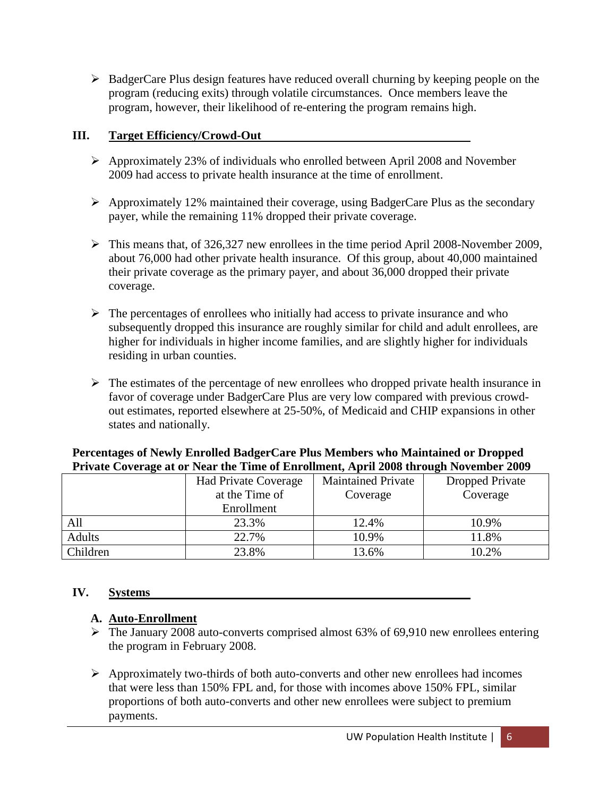$\triangleright$  BadgerCare Plus design features have reduced overall churning by keeping people on the program (reducing exits) through volatile circumstances. Once members leave the program, however, their likelihood of re-entering the program remains high.

### **III. Target Efficiency/Crowd-Out**

- Approximately 23% of individuals who enrolled between April 2008 and November 2009 had access to private health insurance at the time of enrollment.
- $\triangleright$  Approximately 12% maintained their coverage, using BadgerCare Plus as the secondary payer, while the remaining 11% dropped their private coverage.
- $\triangleright$  This means that, of 326,327 new enrollees in the time period April 2008-November 2009, about 76,000 had other private health insurance. Of this group, about 40,000 maintained their private coverage as the primary payer, and about 36,000 dropped their private coverage.
- $\triangleright$  The percentages of enrollees who initially had access to private insurance and who subsequently dropped this insurance are roughly similar for child and adult enrollees, are higher for individuals in higher income families, and are slightly higher for individuals residing in urban counties.
- $\triangleright$  The estimates of the percentage of new enrollees who dropped private health insurance in favor of coverage under BadgerCare Plus are very low compared with previous crowdout estimates, reported elsewhere at 25-50%, of Medicaid and CHIP expansions in other states and nationally.

# **Percentages of Newly Enrolled BadgerCare Plus Members who Maintained or Dropped Private Coverage at or Near the Time of Enrollment, April 2008 through November 2009**

|               | <b>Had Private Coverage</b> | <b>Maintained Private</b> | Dropped Private |
|---------------|-----------------------------|---------------------------|-----------------|
|               | at the Time of              | Coverage                  | Coverage        |
|               | Enrollment                  |                           |                 |
| All           | 23.3%                       | 12.4%                     | 10.9%           |
| <b>Adults</b> | 22.7%                       | 10.9%                     | 11.8%           |
| Children      | 23.8%                       | 13.6%                     | 10.2%           |

# **IV. Systems**

# **A. Auto-Enrollment**

- $\triangleright$  The January 2008 auto-converts comprised almost 63% of 69,910 new enrollees entering the program in February 2008.
- $\triangleright$  Approximately two-thirds of both auto-converts and other new enrollees had incomes that were less than 150% FPL and, for those with incomes above 150% FPL, similar proportions of both auto-converts and other new enrollees were subject to premium payments.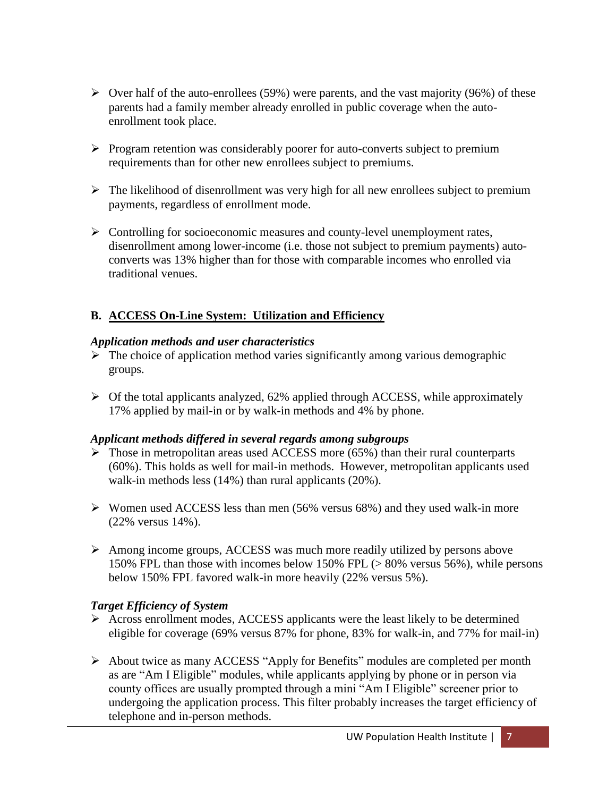- $\triangleright$  Over half of the auto-enrollees (59%) were parents, and the vast majority (96%) of these parents had a family member already enrolled in public coverage when the autoenrollment took place.
- $\triangleright$  Program retention was considerably poorer for auto-converts subject to premium requirements than for other new enrollees subject to premiums.
- $\triangleright$  The likelihood of disenrollment was very high for all new enrollees subject to premium payments, regardless of enrollment mode.
- $\triangleright$  Controlling for socioeconomic measures and county-level unemployment rates, disenrollment among lower-income (i.e. those not subject to premium payments) autoconverts was 13% higher than for those with comparable incomes who enrolled via traditional venues.

# **B. ACCESS On-Line System: Utilization and Efficiency**

#### *Application methods and user characteristics*

- $\sum$  The choice of application method varies significantly among various demographic groups.
- $\triangleright$  Of the total applicants analyzed, 62% applied through ACCESS, while approximately 17% applied by mail-in or by walk-in methods and 4% by phone.

# *Applicant methods differed in several regards among subgroups*

- $\triangleright$  Those in metropolitan areas used ACCESS more (65%) than their rural counterparts (60%). This holds as well for mail-in methods. However, metropolitan applicants used walk-in methods less (14%) than rural applicants (20%).
- $\triangleright$  Women used ACCESS less than men (56% versus 68%) and they used walk-in more (22% versus 14%).
- Among income groups, ACCESS was much more readily utilized by persons above 150% FPL than those with incomes below 150% FPL (> 80% versus 56%), while persons below 150% FPL favored walk-in more heavily (22% versus 5%).

# *Target Efficiency of System*

- Across enrollment modes, ACCESS applicants were the least likely to be determined eligible for coverage (69% versus 87% for phone, 83% for walk-in, and 77% for mail-in)
- $\triangleright$  About twice as many ACCESS "Apply for Benefits" modules are completed per month as are "Am I Eligible" modules, while applicants applying by phone or in person via county offices are usually prompted through a mini "Am I Eligible" screener prior to undergoing the application process. This filter probably increases the target efficiency of telephone and in-person methods.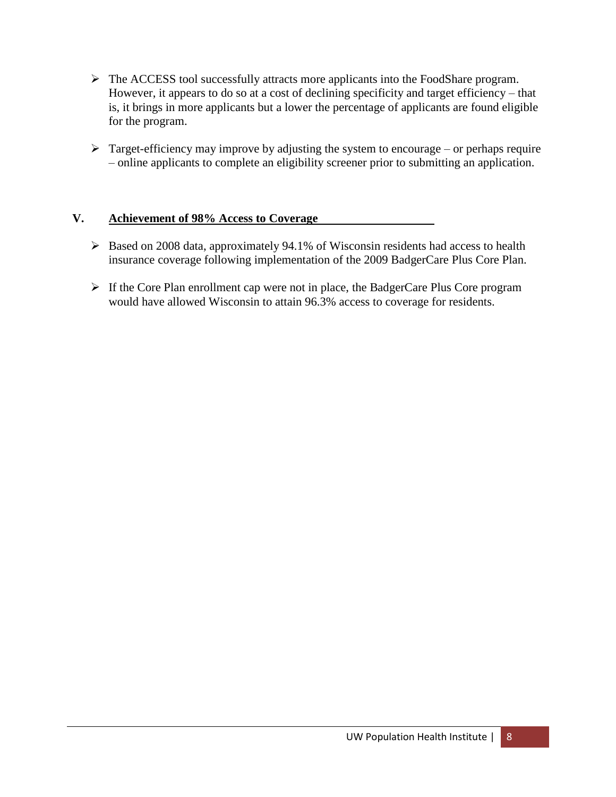- The ACCESS tool successfully attracts more applicants into the FoodShare program. However, it appears to do so at a cost of declining specificity and target efficiency – that is, it brings in more applicants but a lower the percentage of applicants are found eligible for the program.
- $\triangleright$  Target-efficiency may improve by adjusting the system to encourage or perhaps require – online applicants to complete an eligibility screener prior to submitting an application.

#### **V. Achievement of 98% Access to Coverage**

- $\triangleright$  Based on 2008 data, approximately 94.1% of Wisconsin residents had access to health insurance coverage following implementation of the 2009 BadgerCare Plus Core Plan.
- $\triangleright$  If the Core Plan enrollment cap were not in place, the BadgerCare Plus Core program would have allowed Wisconsin to attain 96.3% access to coverage for residents.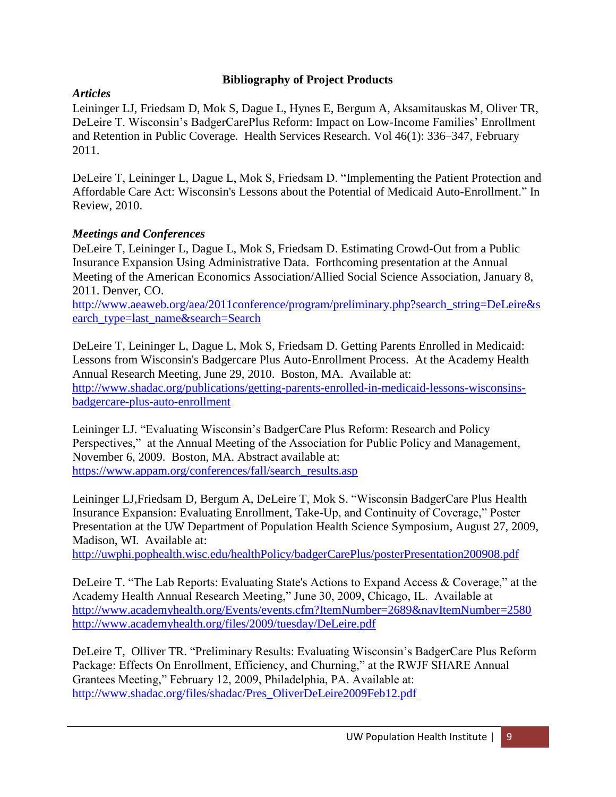### **Bibliography of Project Products**

### *Articles*

Leininger LJ, Friedsam D, Mok S, Dague L, Hynes E, Bergum A, Aksamitauskas M, Oliver TR, DeLeire T. Wisconsin's BadgerCarePlus Reform: Impact on Low-Income Families' Enrollment and Retention in Public Coverage. Health Services Research. Vol 46(1): 336–347, February 2011.

DeLeire T, Leininger L, Dague L, Mok S, Friedsam D. "Implementing the Patient Protection and Affordable Care Act: Wisconsin's Lessons about the Potential of Medicaid Auto-Enrollment." In Review, 2010.

#### *Meetings and Conferences*

DeLeire T, Leininger L, Dague L, Mok S, Friedsam D. Estimating Crowd-Out from a Public Insurance Expansion Using Administrative Data. Forthcoming presentation at the Annual Meeting of the American Economics Association/Allied Social Science Association, January 8, 2011. Denver, CO.

[http://www.aeaweb.org/aea/2011conference/program/preliminary.php?search\\_string=DeLeire&s](http://www.aeaweb.org/aea/2011conference/program/preliminary.php?search_string=DeLeire&search_type=last_name&search=Search) [earch\\_type=last\\_name&search=Search](http://www.aeaweb.org/aea/2011conference/program/preliminary.php?search_string=DeLeire&search_type=last_name&search=Search)

DeLeire T, Leininger L, Dague L, Mok S, Friedsam D. Getting Parents Enrolled in Medicaid: Lessons from Wisconsin's Badgercare Plus Auto-Enrollment Process. At the Academy Health Annual Research Meeting, June 29, 2010. Boston, MA. Available at: [http://www.shadac.org/publications/getting-parents-enrolled-in-medicaid-lessons-wisconsins](http://www.shadac.org/publications/getting-parents-enrolled-in-medicaid-lessons-wisconsins-badgercare-plus-auto-enrollment)[badgercare-plus-auto-enrollment](http://www.shadac.org/publications/getting-parents-enrolled-in-medicaid-lessons-wisconsins-badgercare-plus-auto-enrollment)

Leininger LJ. "Evaluating Wisconsin's BadgerCare Plus Reform: Research and Policy Perspectives," at the Annual Meeting of the Association for Public Policy and Management, November 6, 2009. Boston, MA. Abstract available at: [https://www.appam.org/conferences/fall/search\\_results.asp](https://www.appam.org/conferences/fall/search_results.asp)

Leininger LJ, Friedsam D, Bergum A, DeLeire T, Mok S. "Wisconsin BadgerCare Plus Health Insurance Expansion: Evaluating Enrollment, Take-Up, and Continuity of Coverage," Poster Presentation at the UW Department of Population Health Science Symposium, August 27, 2009, Madison, WI. Available at:

<http://uwphi.pophealth.wisc.edu/healthPolicy/badgerCarePlus/posterPresentation200908.pdf>

DeLeire T. "The Lab Reports: Evaluating State's Actions to Expand Access & Coverage," at the Academy Health Annual Research Meeting," June 30, 2009, Chicago, IL. Available at <http://www.academyhealth.org/Events/events.cfm?ItemNumber=2689&navItemNumber=2580> <http://www.academyhealth.org/files/2009/tuesday/DeLeire.pdf>

DeLeire T, Olliver TR. "Preliminary Results: Evaluating Wisconsin's BadgerCare Plus Reform Package: Effects On Enrollment, Efficiency, and Churning," at the RWJF SHARE Annual Grantees Meeting," February 12, 2009, Philadelphia, PA. Available at: [http://www.shadac.org/files/shadac/Pres\\_OliverDeLeire2009Feb12.pdf](http://www.shadac.org/files/shadac/Pres_OliverDeLeire2009Feb12.pdf)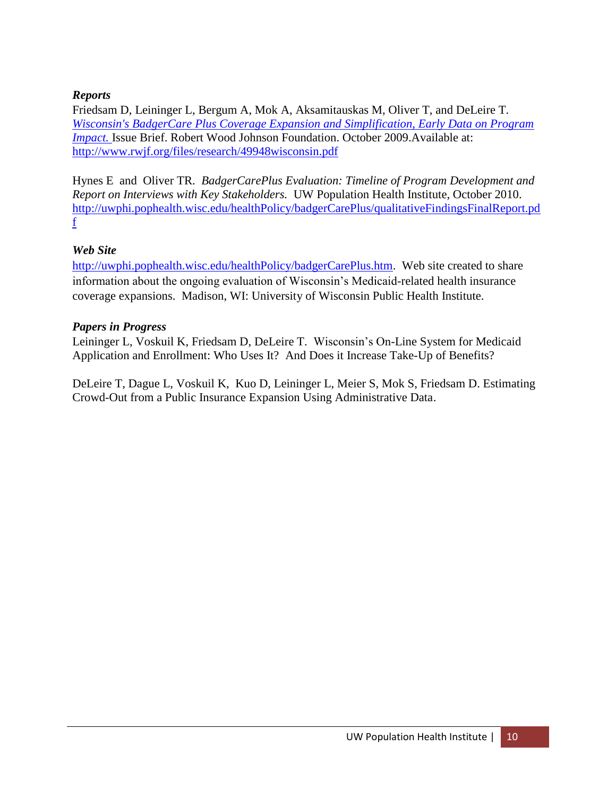### *Reports*

Friedsam D, Leininger L, Bergum A, Mok A, Aksamitauskas M, Oliver T, and DeLeire T. *[Wisconsin's BadgerCare Plus Coverage Expansion and Simplification, Early Data on Program](http://www.rwjf.org/files/research/49948wisconsin.pdf)  [Impact.](http://www.rwjf.org/files/research/49948wisconsin.pdf)* Issue Brief. Robert Wood Johnson Foundation. October 2009.Available at: <http://www.rwjf.org/files/research/49948wisconsin.pdf>

Hynes E and Oliver TR. *BadgerCarePlus Evaluation: Timeline of Program Development and Report on Interviews with Key Stakeholders.* UW Population Health Institute, October 2010. [http://uwphi.pophealth.wisc.edu/healthPolicy/badgerCarePlus/qualitativeFindingsFinalReport.pd](http://uwphi.pophealth.wisc.edu/healthPolicy/badgerCarePlus/qualitativeFindingsFinalReport.pdf) [f](http://uwphi.pophealth.wisc.edu/healthPolicy/badgerCarePlus/qualitativeFindingsFinalReport.pdf)

#### *Web Site*

[http://uwphi.pophealth.wisc.edu/healthPolicy/badgerCarePlus.htm.](http://uwphi.pophealth.wisc.edu/healthPolicy/badgerCarePlus.htm) Web site created to share information about the ongoing evaluation of Wisconsin's Medicaid-related health insurance coverage expansions. Madison, WI: University of Wisconsin Public Health Institute.

#### *Papers in Progress*

Leininger L, Voskuil K, Friedsam D, DeLeire T. Wisconsin's On-Line System for Medicaid Application and Enrollment: Who Uses It? And Does it Increase Take-Up of Benefits?

DeLeire T, Dague L, Voskuil K, Kuo D, Leininger L, Meier S, Mok S, Friedsam D. Estimating Crowd-Out from a Public Insurance Expansion Using Administrative Data.